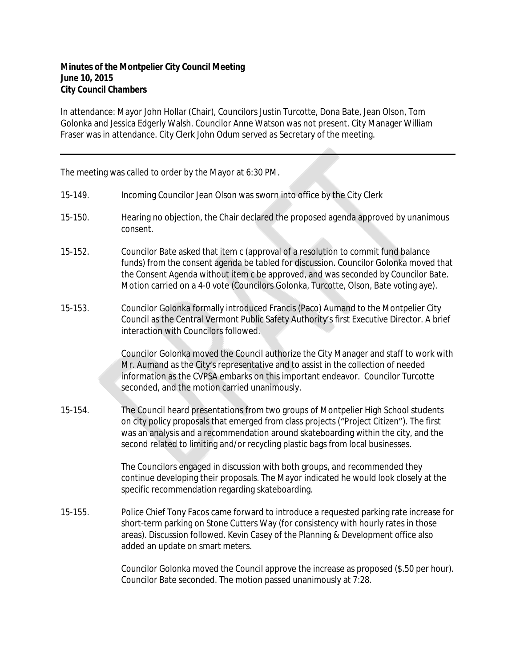In attendance: Mayor John Hollar (Chair), Councilors Justin Turcotte, Dona Bate, Jean Olson, Tom Golonka and Jessica Edgerly Walsh. Councilor Anne Watson was not present. City Manager William Fraser was in attendance. City Clerk John Odum served as Secretary of the meeting.

The meeting was called to order by the Mayor at 6:30 PM.

- 15-149. Incoming Councilor Jean Olson was sworn into office by the City Clerk
- 15-150. Hearing no objection, the Chair declared the proposed agenda approved by unanimous consent.
- 15-152. Councilor Bate asked that item c (approval of a resolution to commit fund balance funds) from the consent agenda be tabled for discussion. Councilor Golonka moved that the Consent Agenda without item c be approved, and was seconded by Councilor Bate. Motion carried on a 4-0 vote (Councilors Golonka, Turcotte, Olson, Bate voting aye).
- 15-153. Councilor Golonka formally introduced Francis (Paco) Aumand to the Montpelier City Council as the Central Vermont Public Safety Authority's first Executive Director. A brief interaction with Councilors followed.

Councilor Golonka moved the Council authorize the City Manager and staff to work with Mr. Aumand as the City's representative and to assist in the collection of needed information as the CVPSA embarks on this important endeavor. Councilor Turcotte seconded, and the motion carried unanimously.

15-154. The Council heard presentations from two groups of Montpelier High School students on city policy proposals that emerged from class projects ("Project Citizen"). The first was an analysis and a recommendation around skateboarding within the city, and the second related to limiting and/or recycling plastic bags from local businesses.

> The Councilors engaged in discussion with both groups, and recommended they continue developing their proposals. The Mayor indicated he would look closely at the specific recommendation regarding skateboarding.

15-155. Police Chief Tony Facos came forward to introduce a requested parking rate increase for short-term parking on Stone Cutters Way (for consistency with hourly rates in those areas). Discussion followed. Kevin Casey of the Planning & Development office also added an update on smart meters.

> Councilor Golonka moved the Council approve the increase as proposed (\$.50 per hour). Councilor Bate seconded. The motion passed unanimously at 7:28.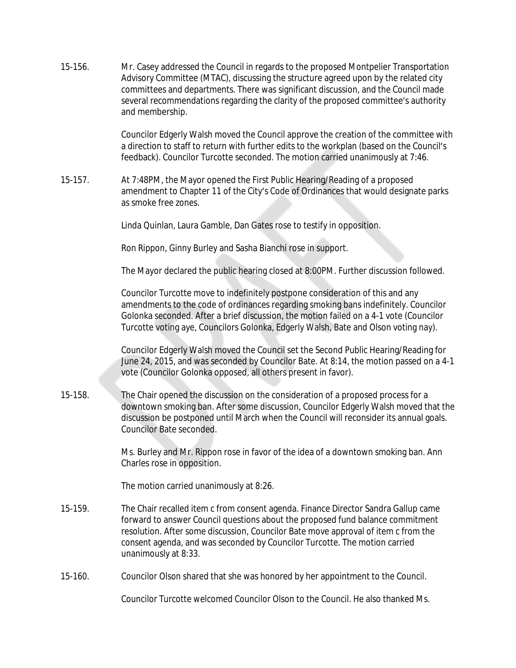15-156. Mr. Casey addressed the Council in regards to the proposed Montpelier Transportation Advisory Committee (MTAC), discussing the structure agreed upon by the related city committees and departments. There was significant discussion, and the Council made several recommendations regarding the clarity of the proposed committee's authority and membership.

> Councilor Edgerly Walsh moved the Council approve the creation of the committee with a direction to staff to return with further edits to the workplan (based on the Council's feedback). Councilor Turcotte seconded. The motion carried unanimously at 7:46.

15-157. At 7:48PM, the Mayor opened the First Public Hearing/Reading of a proposed amendment to Chapter 11 of the City's Code of Ordinances that would designate parks as smoke free zones.

Linda Quinlan, Laura Gamble, Dan Gates rose to testify in opposition.

Ron Rippon, Ginny Burley and Sasha Bianchi rose in support.

The Mayor declared the public hearing closed at 8:00PM. Further discussion followed.

Councilor Turcotte move to indefinitely postpone consideration of this and any amendments to the code of ordinances regarding smoking bans indefinitely. Councilor Golonka seconded. After a brief discussion, the motion failed on a 4-1 vote (Councilor Turcotte voting aye, Councilors Golonka, Edgerly Walsh, Bate and Olson voting nay).

Councilor Edgerly Walsh moved the Council set the Second Public Hearing/Reading for June 24, 2015, and was seconded by Councilor Bate. At 8:14, the motion passed on a 4-1 vote (Councilor Golonka opposed, all others present in favor).

15-158. The Chair opened the discussion on the consideration of a proposed process for a downtown smoking ban. After some discussion, Councilor Edgerly Walsh moved that the discussion be postponed until March when the Council will reconsider its annual goals. Councilor Bate seconded.

> Ms. Burley and Mr. Rippon rose in favor of the idea of a downtown smoking ban. Ann Charles rose in opposition.

The motion carried unanimously at 8:26.

- 15-159. The Chair recalled item c from consent agenda. Finance Director Sandra Gallup came forward to answer Council questions about the proposed fund balance commitment resolution. After some discussion, Councilor Bate move approval of item c from the consent agenda, and was seconded by Councilor Turcotte. The motion carried unanimously at 8:33.
- 15-160. Councilor Olson shared that she was honored by her appointment to the Council.

Councilor Turcotte welcomed Councilor Olson to the Council. He also thanked Ms.